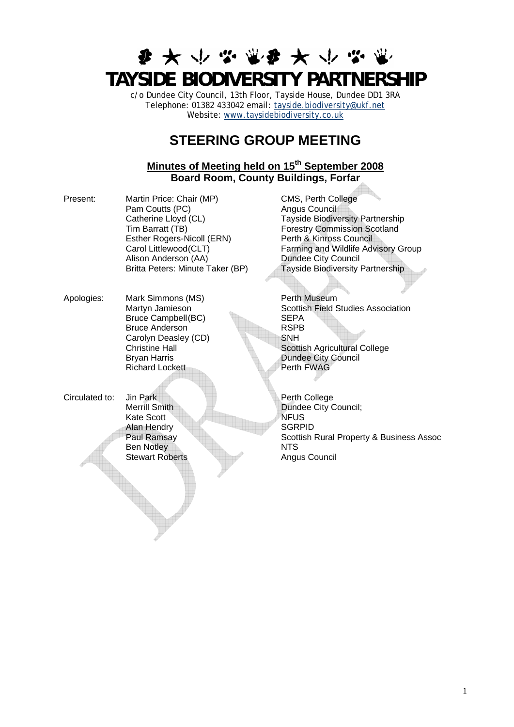# **参 大 小 心 意 争 大 小 心 TAYSIDE BIODIVERSITY PARTNERSHIP**

c/o Dundee City Council, 13th Floor, Tayside House, Dundee DD1 3RA Telephone: 01382 433042 email: [tayside.biodiversity@ukf.net](mailto:tayside.biodiversity@ukf.net) Website: www.taysidebiodiversity.co.uk

## **STEERING GROUP MEETING**

### **Minutes of Meeting held on 15th September 2008 Board Room, County Buildings, Forfar**

- Present: Martin Price: Chair (MP) CMS, Perth College Pam Coutts (PC) Angus Council<br>Catherine Lloyd (CL) Tayside Biodive Tim Barratt (TB) Forestry Commission Scotland<br>
Esther Rogers-Nicoll (ERN) Perth & Kinross Council Esther Rogers-Nicoll (ERN) Alison Anderson (AA) Dundee City Council Britta Peters: Minute Taker (BP) Tayside Biodiversity Partnership
- Apologies: Mark Simmons (MS) Netherlands and Perth Museum Bruce Campbell (BC) SEPA<br>Bruce Anderson RSPB Bruce Anderson Carolyn Deasley (CD) SNH<br>Christine Hall Scotti Richard Lockett Perth FWAG
- Circulated to: Jin Park Perth College Kate Scott NFUS Alan Hendry SGRPID Ben Notley NTS

Tayside Biodiversity Partnership Carol Littlewood (CLT) Farming and Wildlife Advisory Group

Martyn Jamieson Martyn Scottish Field Studies Association Christine Hall Scottish Agricultural College<br>Brvan Harris Dundee City Council **Dundee City Council** 

Merrill Smith **Dundee City Council**; Paul Ramsay Scottish Rural Property & Business Assoc Stewart Roberts **Angus Council**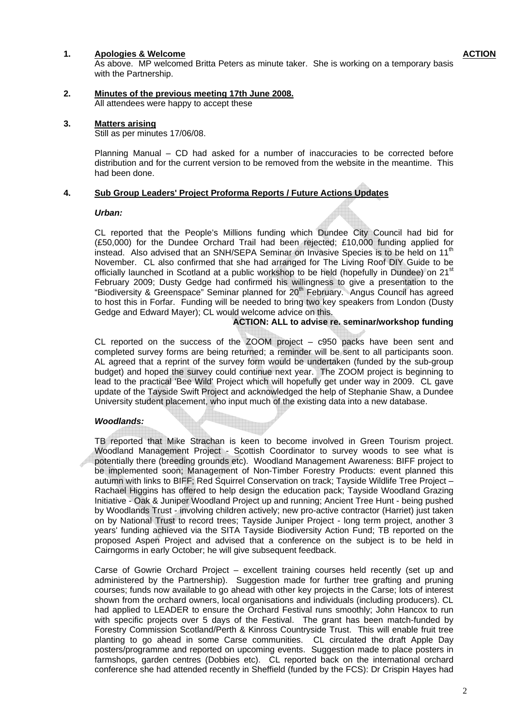#### **1. Apologies & Welcome**

As above. MP welcomed Britta Peters as minute taker. She is working on a temporary basis with the Partnership.

#### **2. Minutes of the previous meeting 17th June 2008.** All attendees were happy to accept these

#### **3. Matters arising**

Still as per minutes 17/06/08.

Planning Manual – CD had asked for a number of inaccuracies to be corrected before distribution and for the current version to be removed from the website in the meantime. This had been done.

#### **4. Sub Group Leaders' Project Proforma Reports / Future Actions Updates**

#### *Urban:*

CL reported that the People's Millions funding which Dundee City Council had bid for (£50,000) for the Dundee Orchard Trail had been rejected; £10,000 funding applied for instead. Also advised that an SNH/SEPA Seminar on Invasive Species is to be held on 11<sup>th</sup> November. CL also confirmed that she had arranged for The Living Roof DIY Guide to be officially launched in Scotland at a public workshop to be held (hopefully in Dundee) on 21<sup>st</sup> February 2009; Dusty Gedge had confirmed his willingness to give a presentation to the "Biodiversity & Greenspace" Seminar planned for  $20<sup>th</sup>$  February. Angus Council has agreed to host this in Forfar. Funding will be needed to bring two key speakers from London (Dusty Gedge and Edward Mayer); CL would welcome advice on this.

### **ACTION: ALL to advise re. seminar/workshop funding**

CL reported on the success of the ZOOM project – c950 packs have been sent and completed survey forms are being returned; a reminder will be sent to all participants soon. AL agreed that a reprint of the survey form would be undertaken (funded by the sub-group budget) and hoped the survey could continue next year. The ZOOM project is beginning to lead to the practical 'Bee Wild' Project which will hopefully get under way in 2009. CL gave update of the Tayside Swift Project and acknowledged the help of Stephanie Shaw, a Dundee University student placement, who input much of the existing data into a new database.

### *Woodlands:*

TB reported that Mike Strachan is keen to become involved in Green Tourism project. Woodland Management Project - Scottish Coordinator to survey woods to see what is potentially there (breeding grounds etc). Woodland Management Awareness: BIFF project to be implemented soon; Management of Non-Timber Forestry Products: event planned this autumn with links to BIFF; Red Squirrel Conservation on track; Tayside Wildlife Tree Project – Rachael Higgins has offered to help design the education pack; Tayside Woodland Grazing Initiative - Oak & Juniper Woodland Project up and running; Ancient Tree Hunt - being pushed by Woodlands Trust - involving children actively; new pro-active contractor (Harriet) just taken on by National Trust to record trees; Tayside Juniper Project - long term project, another 3 years' funding achieved via the SITA Tayside Biodiversity Action Fund; TB reported on the proposed Aspen Project and advised that a conference on the subject is to be held in Cairngorms in early October; he will give subsequent feedback.

Carse of Gowrie Orchard Project – excellent training courses held recently (set up and administered by the Partnership). Suggestion made for further tree grafting and pruning courses; funds now available to go ahead with other key projects in the Carse; lots of interest shown from the orchard owners, local organisations and individuals (including producers). CL had applied to LEADER to ensure the Orchard Festival runs smoothly; John Hancox to run with specific projects over 5 days of the Festival. The grant has been match-funded by Forestry Commission Scotland/Perth & Kinross Countryside Trust. This will enable fruit tree planting to go ahead in some Carse communities. CL circulated the draft Apple Day posters/programme and reported on upcoming events. Suggestion made to place posters in farmshops, garden centres (Dobbies etc). CL reported back on the international orchard conference she had attended recently in Sheffield (funded by the FCS): Dr Crispin Hayes had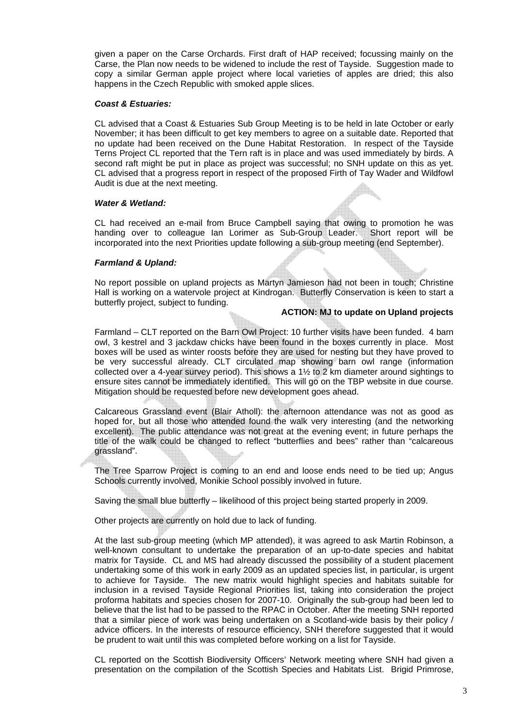given a paper on the Carse Orchards. First draft of HAP received; focussing mainly on the Carse, the Plan now needs to be widened to include the rest of Tayside. Suggestion made to copy a similar German apple project where local varieties of apples are dried; this also happens in the Czech Republic with smoked apple slices.

### *Coast & Estuaries:*

CL advised that a Coast & Estuaries Sub Group Meeting is to be held in late October or early November; it has been difficult to get key members to agree on a suitable date. Reported that no update had been received on the Dune Habitat Restoration. In respect of the Tayside Terns Project CL reported that the Tern raft is in place and was used immediately by birds. A second raft might be put in place as project was successful; no SNH update on this as yet. CL advised that a progress report in respect of the proposed Firth of Tay Wader and Wildfowl Audit is due at the next meeting.

### *Water & Wetland:*

CL had received an e-mail from Bruce Campbell saying that owing to promotion he was handing over to colleague Ian Lorimer as Sub-Group Leader. Short report will be incorporated into the next Priorities update following a sub-group meeting (end September).

### *Farmland & Upland:*

No report possible on upland projects as Martyn Jamieson had not been in touch; Christine Hall is working on a watervole project at Kindrogan. Butterfly Conservation is keen to start a butterfly project, subject to funding.

#### **ACTION: MJ to update on Upland projects**

Farmland – CLT reported on the Barn Owl Project: 10 further visits have been funded. 4 barn owl, 3 kestrel and 3 jackdaw chicks have been found in the boxes currently in place. Most boxes will be used as winter roosts before they are used for nesting but they have proved to be very successful already. CLT circulated map showing barn owl range (information collected over a 4-year survey period). This shows a 1½ to 2 km diameter around sightings to ensure sites cannot be immediately identified. This will go on the TBP website in due course. Mitigation should be requested before new development goes ahead.

Calcareous Grassland event (Blair Atholl): the afternoon attendance was not as good as hoped for, but all those who attended found the walk very interesting (and the networking excellent). The public attendance was not great at the evening event; in future perhaps the title of the walk could be changed to reflect "butterflies and bees" rather than "calcareous grassland".

The Tree Sparrow Project is coming to an end and loose ends need to be tied up; Angus Schools currently involved, Monikie School possibly involved in future.

Saving the small blue butterfly – likelihood of this project being started properly in 2009.

Other projects are currently on hold due to lack of funding.

At the last sub-group meeting (which MP attended), it was agreed to ask Martin Robinson, a well-known consultant to undertake the preparation of an up-to-date species and habitat matrix for Tayside. CL and MS had already discussed the possibility of a student placement undertaking some of this work in early 2009 as an updated species list, in particular, is urgent to achieve for Tayside. The new matrix would highlight species and habitats suitable for inclusion in a revised Tayside Regional Priorities list, taking into consideration the project proforma habitats and species chosen for 2007-10. Originally the sub-group had been led to believe that the list had to be passed to the RPAC in October. After the meeting SNH reported that a similar piece of work was being undertaken on a Scotland-wide basis by their policy / advice officers. In the interests of resource efficiency, SNH therefore suggested that it would be prudent to wait until this was completed before working on a list for Tayside.

CL reported on the Scottish Biodiversity Officers' Network meeting where SNH had given a presentation on the compilation of the Scottish Species and Habitats List. Brigid Primrose,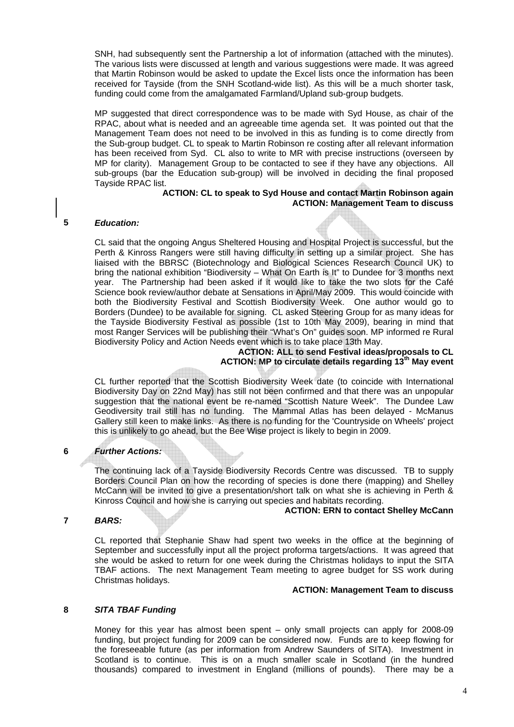SNH, had subsequently sent the Partnership a lot of information (attached with the minutes). The various lists were discussed at length and various suggestions were made. It was agreed that Martin Robinson would be asked to update the Excel lists once the information has been received for Tayside (from the SNH Scotland-wide list). As this will be a much shorter task, funding could come from the amalgamated Farmland/Upland sub-group budgets.

MP suggested that direct correspondence was to be made with Syd House, as chair of the RPAC, about what is needed and an agreeable time agenda set. It was pointed out that the Management Team does not need to be involved in this as funding is to come directly from the Sub-group budget. CL to speak to Martin Robinson re costing after all relevant information has been received from Syd. CL also to write to MR with precise instructions (overseen by MP for clarity). Management Group to be contacted to see if they have any objections. All sub-groups (bar the Education sub-group) will be involved in deciding the final proposed Tayside RPAC list.

### **ACTION: CL to speak to Syd House and contact Martin Robinson again ACTION: Management Team to discuss**

### *Education:*

**5** 

CL said that the ongoing Angus Sheltered Housing and Hospital Project is successful, but the Perth & Kinross Rangers were still having difficulty in setting up a similar project. She has liaised with the BBRSC (Biotechnology and Biological Sciences Research Council UK) to bring the national exhibition "Biodiversity – What On Earth is It" to Dundee for 3 months next year. The Partnership had been asked if it would like to take the two slots for the Café Science book review/author debate at Sensations in April/May 2009. This would coincide with both the Biodiversity Festival and Scottish Biodiversity Week. One author would go to Borders (Dundee) to be available for signing. CL asked Steering Group for as many ideas for the Tayside Biodiversity Festival as possible (1st to 10th May 2009), bearing in mind that most Ranger Services will be publishing their "What's On" guides soon. MP informed re Rural Biodiversity Policy and Action Needs event which is to take place 13th May.

### **ACTION: ALL to send Festival ideas/proposals to CL ACTION: MP to circulate details regarding 13th May event**

CL further reported that the Scottish Biodiversity Week date (to coincide with International Biodiversity Day on 22nd May) has still not been confirmed and that there was an unpopular suggestion that the national event be re-named "Scottish Nature Week". The Dundee Law Geodiversity trail still has no funding. The Mammal Atlas has been delayed - McManus Gallery still keen to make links. As there is no funding for the 'Countryside on Wheels' project this is unlikely to go ahead, but the Bee Wise project is likely to begin in 2009.

#### **6**  *Further Actions:*

The continuing lack of a Tayside Biodiversity Records Centre was discussed. TB to supply Borders Council Plan on how the recording of species is done there (mapping) and Shelley McCann will be invited to give a presentation/short talk on what she is achieving in Perth & Kinross Council and how she is carrying out species and habitats recording.

#### **ACTION: ERN to contact Shelley McCann**

#### **7**  *BARS:*

CL reported that Stephanie Shaw had spent two weeks in the office at the beginning of September and successfully input all the project proforma targets/actions. It was agreed that she would be asked to return for one week during the Christmas holidays to input the SITA TBAF actions. The next Management Team meeting to agree budget for SS work during Christmas holidays.

#### **ACTION: Management Team to discuss**

#### **8**  *SITA TBAF Funding*

Money for this year has almost been spent – only small projects can apply for 2008-09 funding, but project funding for 2009 can be considered now. Funds are to keep flowing for the foreseeable future (as per information from Andrew Saunders of SITA). Investment in Scotland is to continue. This is on a much smaller scale in Scotland (in the hundred thousands) compared to investment in England (millions of pounds). There may be a